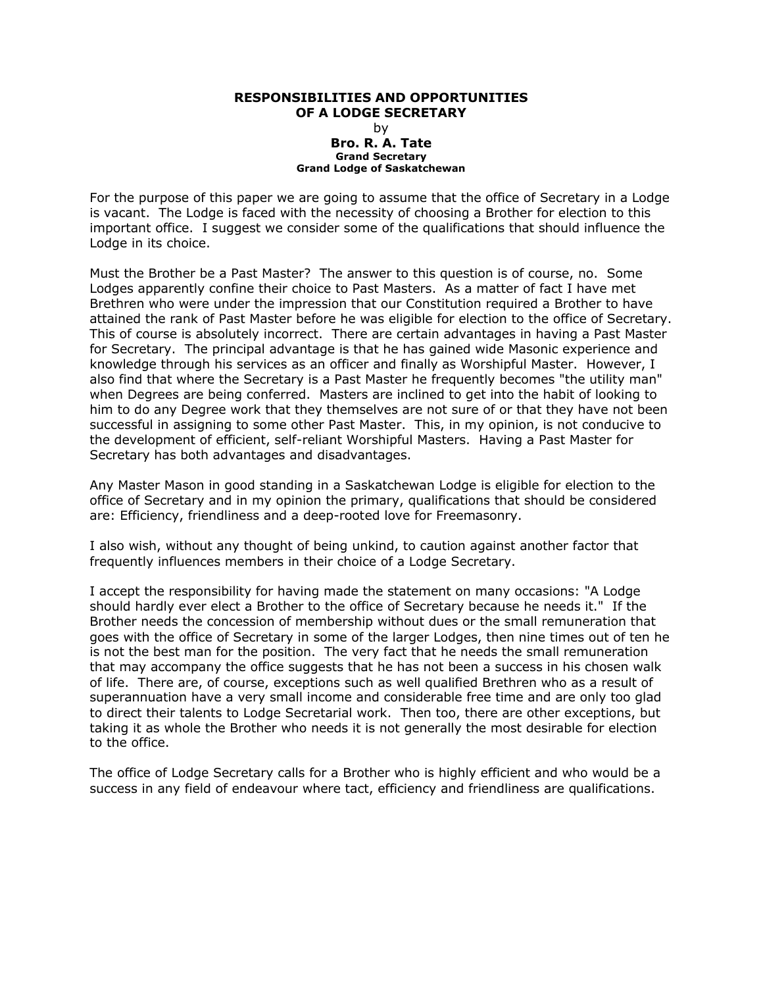## **RESPONSIBILITIES AND OPPORTUNITIES OF A LODGE SECRETARY** by **Bro. R. A. Tate Grand Secretary Grand Lodge of Saskatchewan**

For the purpose of this paper we are going to assume that the office of Secretary in a Lodge is vacant. The Lodge is faced with the necessity of choosing a Brother for election to this important office. I suggest we consider some of the qualifications that should influence the Lodge in its choice.

Must the Brother be a Past Master? The answer to this question is of course, no. Some Lodges apparently confine their choice to Past Masters. As a matter of fact I have met Brethren who were under the impression that our Constitution required a Brother to have attained the rank of Past Master before he was eligible for election to the office of Secretary. This of course is absolutely incorrect. There are certain advantages in having a Past Master for Secretary. The principal advantage is that he has gained wide Masonic experience and knowledge through his services as an officer and finally as Worshipful Master. However, I also find that where the Secretary is a Past Master he frequently becomes "the utility man" when Degrees are being conferred. Masters are inclined to get into the habit of looking to him to do any Degree work that they themselves are not sure of or that they have not been successful in assigning to some other Past Master. This, in my opinion, is not conducive to the development of efficient, self-reliant Worshipful Masters. Having a Past Master for Secretary has both advantages and disadvantages.

Any Master Mason in good standing in a Saskatchewan Lodge is eligible for election to the office of Secretary and in my opinion the primary, qualifications that should be considered are: Efficiency, friendliness and a deep-rooted love for Freemasonry.

I also wish, without any thought of being unkind, to caution against another factor that frequently influences members in their choice of a Lodge Secretary.

I accept the responsibility for having made the statement on many occasions: "A Lodge should hardly ever elect a Brother to the office of Secretary because he needs it." If the Brother needs the concession of membership without dues or the small remuneration that goes with the office of Secretary in some of the larger Lodges, then nine times out of ten he is not the best man for the position. The very fact that he needs the small remuneration that may accompany the office suggests that he has not been a success in his chosen walk of life. There are, of course, exceptions such as well qualified Brethren who as a result of superannuation have a very small income and considerable free time and are only too glad to direct their talents to Lodge Secretarial work. Then too, there are other exceptions, but taking it as whole the Brother who needs it is not generally the most desirable for election to the office.

The office of Lodge Secretary calls for a Brother who is highly efficient and who would be a success in any field of endeavour where tact, efficiency and friendliness are qualifications.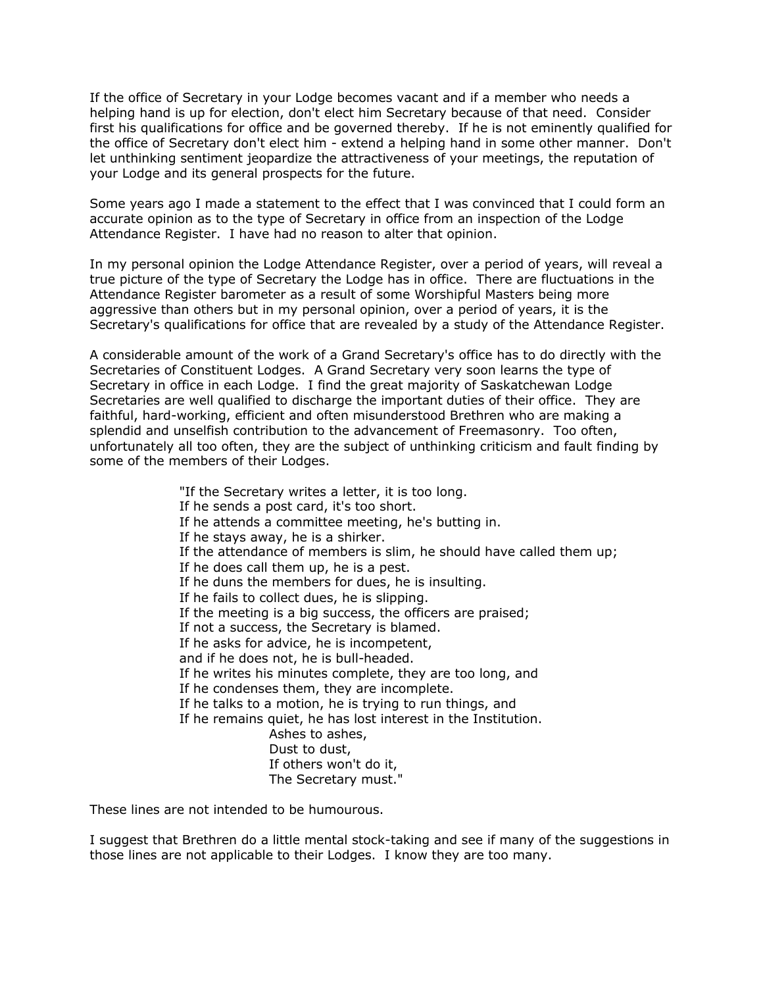If the office of Secretary in your Lodge becomes vacant and if a member who needs a helping hand is up for election, don't elect him Secretary because of that need. Consider first his qualifications for office and be governed thereby. If he is not eminently qualified for the office of Secretary don't elect him - extend a helping hand in some other manner. Don't let unthinking sentiment jeopardize the attractiveness of your meetings, the reputation of your Lodge and its general prospects for the future.

Some years ago I made a statement to the effect that I was convinced that I could form an accurate opinion as to the type of Secretary in office from an inspection of the Lodge Attendance Register. I have had no reason to alter that opinion.

In my personal opinion the Lodge Attendance Register, over a period of years, will reveal a true picture of the type of Secretary the Lodge has in office. There are fluctuations in the Attendance Register barometer as a result of some Worshipful Masters being more aggressive than others but in my personal opinion, over a period of years, it is the Secretary's qualifications for office that are revealed by a study of the Attendance Register.

A considerable amount of the work of a Grand Secretary's office has to do directly with the Secretaries of Constituent Lodges. A Grand Secretary very soon learns the type of Secretary in office in each Lodge. I find the great majority of Saskatchewan Lodge Secretaries are well qualified to discharge the important duties of their office. They are faithful, hard-working, efficient and often misunderstood Brethren who are making a splendid and unselfish contribution to the advancement of Freemasonry. Too often, unfortunately all too often, they are the subject of unthinking criticism and fault finding by some of the members of their Lodges.

> "If the Secretary writes a letter, it is too long. If he sends a post card, it's too short. If he attends a committee meeting, he's butting in. If he stays away, he is a shirker. If the attendance of members is slim, he should have called them up; If he does call them up, he is a pest. If he duns the members for dues, he is insulting. If he fails to collect dues, he is slipping. If the meeting is a big success, the officers are praised; If not a success, the Secretary is blamed. If he asks for advice, he is incompetent, and if he does not, he is bull-headed. If he writes his minutes complete, they are too long, and If he condenses them, they are incomplete. If he talks to a motion, he is trying to run things, and If he remains quiet, he has lost interest in the Institution. Ashes to ashes, Dust to dust, If others won't do it, The Secretary must."

These lines are not intended to be humourous.

I suggest that Brethren do a little mental stock-taking and see if many of the suggestions in those lines are not applicable to their Lodges. I know they are too many.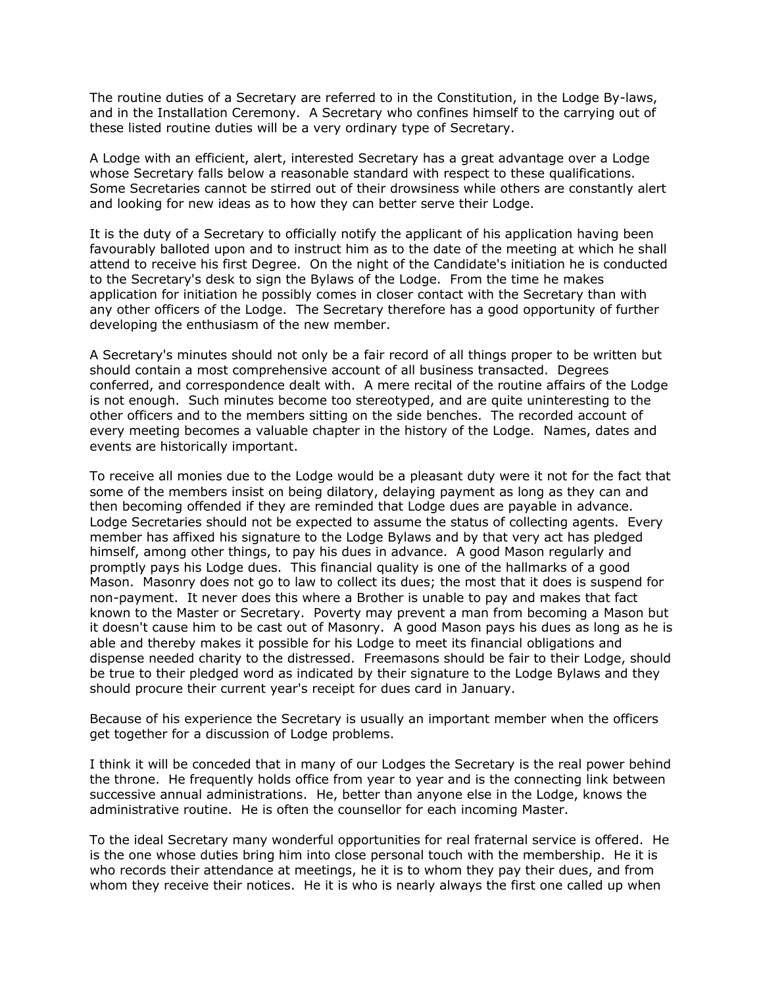The routine duties of a Secretary are referred to in the Constitution, in the Lodge By-laws, and in the Installation Ceremony. A Secretary who confines himself to the carrying out of these listed routine duties will be a very ordinary type of Secretary.

A Lodge with an efficient, alert, interested Secretary has a great advantage over a Lodge whose Secretary falls below a reasonable standard with respect to these qualifications. Some Secretaries cannot be stirred out of their drowsiness while others are constantly alert and looking for new ideas as to how they can better serve their Lodge.

It is the duty of a Secretary to officially notify the applicant of his application having been favourably balloted upon and to instruct him as to the date of the meeting at which he shall attend to receive his first Degree. On the night of the Candidate's initiation he is conducted to the Secretary's desk to sign the Bylaws of the Lodge. From the time he makes application for initiation he possibly comes in closer contact with the Secretary than with any other officers of the Lodge. The Secretary therefore has a good opportunity of further developing the enthusiasm of the new member.

A Secretary's minutes should not only be a fair record of all things proper to be written but should contain a most comprehensive account of all business transacted. Degrees conferred, and correspondence dealt with. A mere recital of the routine affairs of the Lodge is not enough. Such minutes become too stereotyped, and are quite uninteresting to the other officers and to the members sitting on the side benches. The recorded account of every meeting becomes a valuable chapter in the history of the Lodge. Names, dates and events are historically important.

To receive all monies due to the Lodge would be a pleasant duty were it not for the fact that some of the members insist on being dilatory, delaying payment as long as they can and then becoming offended if they are reminded that Lodge dues are payable in advance. Lodge Secretaries should not be expected to assume the status of collecting agents. Every member has affixed his signature to the Lodge Bylaws and by that very act has pledged himself, among other things, to pay his dues in advance. A good Mason regularly and promptly pays his Lodge dues. This financial quality is one of the hallmarks of a good Mason. Masonry does not go to law to collect its dues; the most that it does is suspend for non-payment. It never does this where a Brother is unable to pay and makes that fact known to the Master or Secretary. Poverty may prevent a man from becoming a Mason but it doesn't cause him to be cast out of Masonry. A good Mason pays his dues as long as he is able and thereby makes it possible for his Lodge to meet its financial obligations and dispense needed charity to the distressed. Freemasons should be fair to their Lodge, should be true to their pledged word as indicated by their signature to the Lodge Bylaws and they should procure their current year's receipt for dues card in January.

Because of his experience the Secretary is usually an important member when the officers get together for a discussion of Lodge problems.

I think it will be conceded that in many of our Lodges the Secretary is the real power behind the throne. He frequently holds office from year to year and is the connecting link between successive annual administrations. He, better than anyone else in the Lodge, knows the administrative routine. He is often the counsellor for each incoming Master.

To the ideal Secretary many wonderful opportunities for real fraternal service is offered. He is the one whose duties bring him into close personal touch with the membership. He it is who records their attendance at meetings, he it is to whom they pay their dues, and from whom they receive their notices. He it is who is nearly always the first one called up when